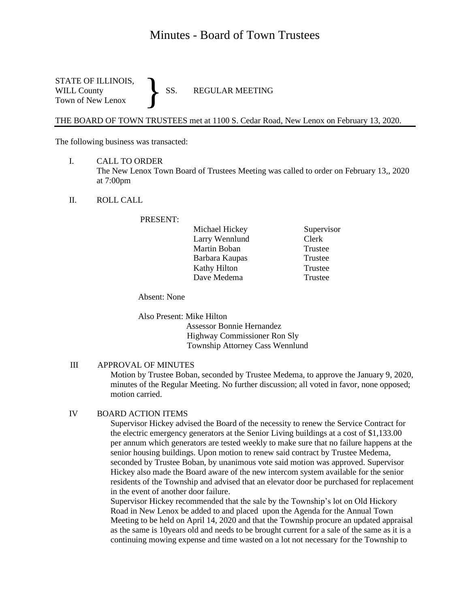# Minutes - Board of Town Trustees

STATE OF ILLINOIS,<br>WILL County SS. WILL County SS. REGULAR MEETING Town of New Lenox }

THE BOARD OF TOWN TRUSTEES met at 1100 S. Cedar Road, New Lenox on February 13, 2020.

The following business was transacted:

- I. CALL TO ORDER The New Lenox Town Board of Trustees Meeting was called to order on February 13,, 2020 at 7:00pm
- II. ROLL CALL

PRESENT:

Supervisor Clerk Trustee Trustee Trustee **Trustee** 

Absent: None

Also Present: Mike Hilton Assessor Bonnie Hernandez Highway Commissioner Ron Sly Township Attorney Cass Wennlund

#### III APPROVAL OF MINUTES

Motion by Trustee Boban, seconded by Trustee Medema, to approve the January 9, 2020, minutes of the Regular Meeting. No further discussion; all voted in favor, none opposed; motion carried.

## IV BOARD ACTION ITEMS

Supervisor Hickey advised the Board of the necessity to renew the Service Contract for the electric emergency generators at the Senior Living buildings at a cost of \$1,133.00 per annum which generators are tested weekly to make sure that no failure happens at the senior housing buildings. Upon motion to renew said contract by Trustee Medema, seconded by Trustee Boban, by unanimous vote said motion was approved. Supervisor Hickey also made the Board aware of the new intercom system available for the senior residents of the Township and advised that an elevator door be purchased for replacement in the event of another door failure.

Supervisor Hickey recommended that the sale by the Township's lot on Old Hickory Road in New Lenox be added to and placed upon the Agenda for the Annual Town Meeting to be held on April 14, 2020 and that the Township procure an updated appraisal as the same is 10years old and needs to be brought current for a sale of the same as it is a continuing mowing expense and time wasted on a lot not necessary for the Township to